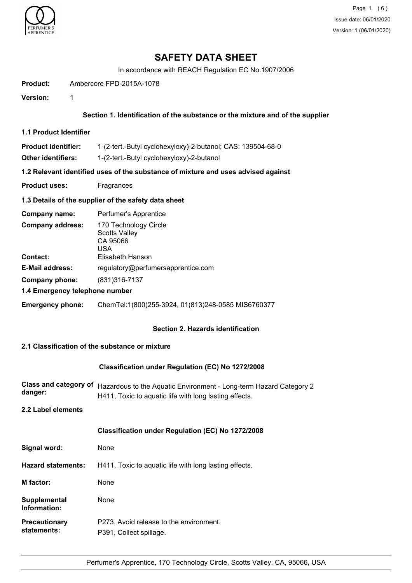

Page 1 (6) Issue date: 06/01/2020 Version: 1 (06/01/2020)

## **SAFETY DATA SHEET**

In accordance with REACH Regulation EC No.1907/2006

**Product:** Ambercore FPD-2015A-1078

**Version:** 1

## **Section 1. Identification of the substance or the mixture and of the supplier**

**1.1 Product Identifier**

**Product identifier:** 1-(2-tert.-Butyl cyclohexyloxy)-2-butanol; CAS: 139504-68-0

**Other identifiers:** 1-(2-tert.-Butyl cyclohexyloxy)-2-butanol

**1.2 Relevant identified uses of the substance of mixture and uses advised against**

**Product uses:** Fragrances

## **1.3 Details of the supplier of the safety data sheet**

| Company name:                              | Perfumer's Apprentice                                                                |
|--------------------------------------------|--------------------------------------------------------------------------------------|
| <b>Company address:</b><br><b>Contact:</b> | 170 Technology Circle<br><b>Scotts Valley</b><br>CA 95066<br>USA<br>Elisabeth Hanson |
| <b>E-Mail address:</b>                     | regulatory@perfumersapprentice.com                                                   |
| Company phone:                             | (831)316-7137                                                                        |
| 1.4 Emergency telephone number             |                                                                                      |
| <b>Emergency phone:</b>                    | ChemTel:1(800)255-3924, 01(813)248-0585 MIS6760377                                   |

## **Section 2. Hazards identification**

## **2.1 Classification of the substance or mixture**

# **Classification under Regulation (EC) No 1272/2008** Class and category of Hazardous to the Aquatic Environment - Long-term Hazard Category 2 **danger:** H411, Toxic to aquatic life with long lasting effects. **2.2 Label elements Classification under Regulation (EC) No 1272/2008** Signal word: None **Hazard statements:** H411, Toxic to aquatic life with long lasting effects. **M factor:** None **Supplemental** None **Information:** P273, Avoid release to the environment. P391, Collect spillage. **Precautionary statements:**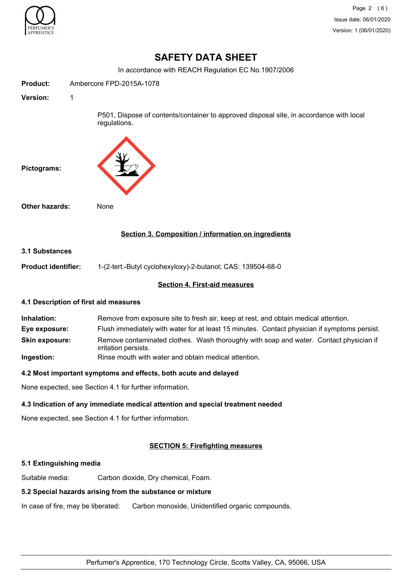

Page 2 (6) Issue date: 06/01/2020 Version: 1 (06/01/2020)

## **SAFETY DATA SHEET**

In accordance with REACH Regulation EC No.1907/2006

| <b>Product:</b>                                       | Ambercore FPD-2015A-1078                                                                                                                                                                                                                                                      |  |
|-------------------------------------------------------|-------------------------------------------------------------------------------------------------------------------------------------------------------------------------------------------------------------------------------------------------------------------------------|--|
| <b>Version:</b>                                       | 1                                                                                                                                                                                                                                                                             |  |
|                                                       | P501, Dispose of contents/container to approved disposal site, in accordance with local<br>regulations.                                                                                                                                                                       |  |
| Pictograms:                                           |                                                                                                                                                                                                                                                                               |  |
| Other hazards:                                        | None                                                                                                                                                                                                                                                                          |  |
|                                                       | Section 3. Composition / information on ingredients                                                                                                                                                                                                                           |  |
| 3.1 Substances                                        |                                                                                                                                                                                                                                                                               |  |
| Product identifier:                                   | 1-(2-tert.-Butyl cyclohexyloxy)-2-butanol; CAS: 139504-68-0                                                                                                                                                                                                                   |  |
|                                                       | <b>Section 4. First-aid measures</b>                                                                                                                                                                                                                                          |  |
|                                                       | 4.1 Description of first aid measures                                                                                                                                                                                                                                         |  |
| Inhalation:<br>Eye exposure:<br><b>Skin exposure:</b> | Remove from exposure site to fresh air, keep at rest, and obtain medical attention.<br>Flush immediately with water for at least 15 minutes. Contact physician if symptoms persist.<br>Remove contaminated clothes. Wash thoroughly with soap and water. Contact physician if |  |
| Ingestion:                                            | irritation persists.<br>Rinse mouth with water and obtain medical attention.                                                                                                                                                                                                  |  |
|                                                       | 4.2 Most important symptoms and effects, both acute and delayed                                                                                                                                                                                                               |  |
|                                                       | None expected, see Section 4.1 for further information.                                                                                                                                                                                                                       |  |
|                                                       | 4.3 Indication of any immediate medical attention and special treatment needed                                                                                                                                                                                                |  |
|                                                       | None expected, see Section 4.1 for further information.                                                                                                                                                                                                                       |  |
|                                                       |                                                                                                                                                                                                                                                                               |  |
|                                                       |                                                                                                                                                                                                                                                                               |  |

## **SECTION 5: Firefighting measures**

## **5.1 Extinguishing media**

Suitable media: Carbon dioxide, Dry chemical, Foam.

## **5.2 Special hazards arising from the substance or mixture**

In case of fire, may be liberated: Carbon monoxide, Unidentified organic compounds.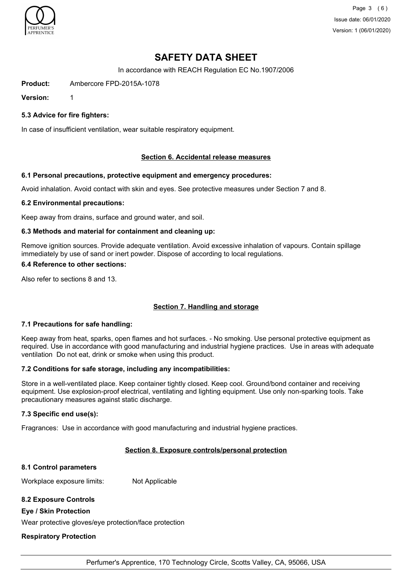

Page 3 (6) Issue date: 06/01/2020 Version: 1 (06/01/2020)

# **SAFETY DATA SHEET**

In accordance with REACH Regulation EC No.1907/2006

**Product:** Ambercore FPD-2015A-1078

**Version:** 1

**5.3 Advice for fire fighters:**

In case of insufficient ventilation, wear suitable respiratory equipment.

### **Section 6. Accidental release measures**

### **6.1 Personal precautions, protective equipment and emergency procedures:**

Avoid inhalation. Avoid contact with skin and eyes. See protective measures under Section 7 and 8.

#### **6.2 Environmental precautions:**

Keep away from drains, surface and ground water, and soil.

### **6.3 Methods and material for containment and cleaning up:**

Remove ignition sources. Provide adequate ventilation. Avoid excessive inhalation of vapours. Contain spillage immediately by use of sand or inert powder. Dispose of according to local regulations.

#### **6.4 Reference to other sections:**

Also refer to sections 8 and 13.

## **Section 7. Handling and storage**

#### **7.1 Precautions for safe handling:**

Keep away from heat, sparks, open flames and hot surfaces. - No smoking. Use personal protective equipment as required. Use in accordance with good manufacturing and industrial hygiene practices. Use in areas with adequate ventilation Do not eat, drink or smoke when using this product.

#### **7.2 Conditions for safe storage, including any incompatibilities:**

Store in a well-ventilated place. Keep container tightly closed. Keep cool. Ground/bond container and receiving equipment. Use explosion-proof electrical, ventilating and lighting equipment. Use only non-sparking tools. Take precautionary measures against static discharge.

#### **7.3 Specific end use(s):**

Fragrances: Use in accordance with good manufacturing and industrial hygiene practices.

#### **Section 8. Exposure controls/personal protection**

#### **8.1 Control parameters**

Workplace exposure limits: Not Applicable

## **8.2 Exposure Controls**

#### **Eye / Skin Protection**

Wear protective gloves/eye protection/face protection

## **Respiratory Protection**

Perfumer's Apprentice, 170 Technology Circle, Scotts Valley, CA, 95066, USA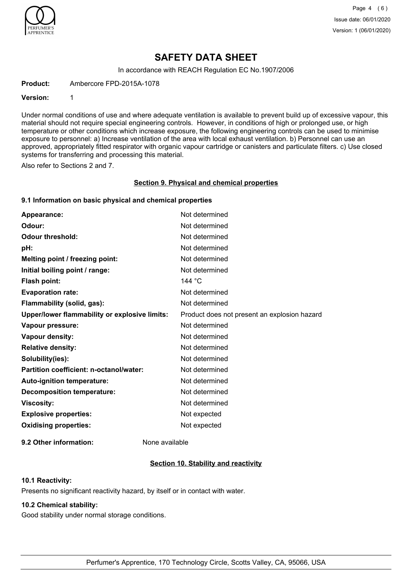

Page 4 (6) Issue date: 06/01/2020 Version: 1 (06/01/2020)

## **SAFETY DATA SHEET**

In accordance with REACH Regulation EC No.1907/2006

**Product:** Ambercore FPD-2015A-1078

#### **Version:** 1

Under normal conditions of use and where adequate ventilation is available to prevent build up of excessive vapour, this material should not require special engineering controls. However, in conditions of high or prolonged use, or high temperature or other conditions which increase exposure, the following engineering controls can be used to minimise exposure to personnel: a) Increase ventilation of the area with local exhaust ventilation. b) Personnel can use an approved, appropriately fitted respirator with organic vapour cartridge or canisters and particulate filters. c) Use closed systems for transferring and processing this material.

Also refer to Sections 2 and 7.

#### **Section 9. Physical and chemical properties**

## **9.1 Information on basic physical and chemical properties**

| Appearance:                                          | Not determined                               |
|------------------------------------------------------|----------------------------------------------|
| Odour:                                               | Not determined                               |
| <b>Odour threshold:</b>                              | Not determined                               |
| pH:                                                  | Not determined                               |
| Melting point / freezing point:                      | Not determined                               |
| Initial boiling point / range:                       | Not determined                               |
| <b>Flash point:</b>                                  | 144 $\degree$ C                              |
| <b>Evaporation rate:</b>                             | Not determined                               |
| Flammability (solid, gas):                           | Not determined                               |
| <b>Upper/lower flammability or explosive limits:</b> | Product does not present an explosion hazard |
| Vapour pressure:                                     | Not determined                               |
| <b>Vapour density:</b>                               | Not determined                               |
| <b>Relative density:</b>                             | Not determined                               |
| Solubility(ies):                                     | Not determined                               |
| Partition coefficient: n-octanol/water:              | Not determined                               |
| <b>Auto-ignition temperature:</b>                    | Not determined                               |
| <b>Decomposition temperature:</b>                    | Not determined                               |
| <b>Viscosity:</b>                                    | Not determined                               |
| <b>Explosive properties:</b>                         | Not expected                                 |
| <b>Oxidising properties:</b>                         | Not expected                                 |
|                                                      |                                              |

**9.2 Other information:** None available

## **Section 10. Stability and reactivity**

## **10.1 Reactivity:**

Presents no significant reactivity hazard, by itself or in contact with water.

## **10.2 Chemical stability:**

Good stability under normal storage conditions.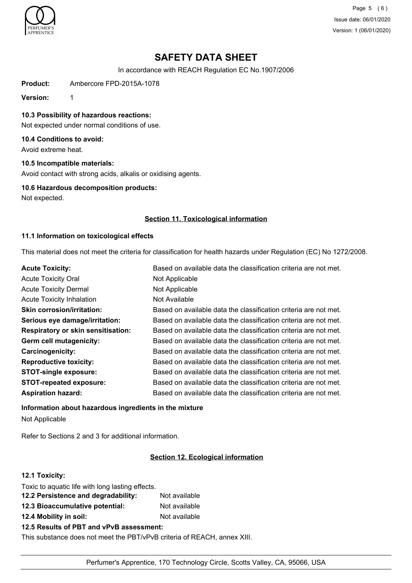

Page 5 (6) Issue date: 06/01/2020 Version: 1 (06/01/2020)

# **SAFETY DATA SHEET**

In accordance with REACH Regulation EC No.1907/2006

**Product:** Ambercore FPD-2015A-1078

**Version:** 1

**10.3 Possibility of hazardous reactions:**

Not expected under normal conditions of use.

## **10.4 Conditions to avoid:**

Avoid extreme heat.

## **10.5 Incompatible materials:**

Avoid contact with strong acids, alkalis or oxidising agents.

### **10.6 Hazardous decomposition products:**

Not expected.

### **Section 11. Toxicological information**

### **11.1 Information on toxicological effects**

This material does not meet the criteria for classification for health hazards under Regulation (EC) No 1272/2008.

| <b>Acute Toxicity:</b>                    | Based on available data the classification criteria are not met. |
|-------------------------------------------|------------------------------------------------------------------|
| <b>Acute Toxicity Oral</b>                | Not Applicable                                                   |
| <b>Acute Toxicity Dermal</b>              | Not Applicable                                                   |
| <b>Acute Toxicity Inhalation</b>          | Not Available                                                    |
| <b>Skin corrosion/irritation:</b>         | Based on available data the classification criteria are not met. |
| Serious eye damage/irritation:            | Based on available data the classification criteria are not met. |
| <b>Respiratory or skin sensitisation:</b> | Based on available data the classification criteria are not met. |
| Germ cell mutagenicity:                   | Based on available data the classification criteria are not met. |
| <b>Carcinogenicity:</b>                   | Based on available data the classification criteria are not met. |
| <b>Reproductive toxicity:</b>             | Based on available data the classification criteria are not met. |
| <b>STOT-single exposure:</b>              | Based on available data the classification criteria are not met. |
| <b>STOT-repeated exposure:</b>            | Based on available data the classification criteria are not met. |
| <b>Aspiration hazard:</b>                 | Based on available data the classification criteria are not met. |

#### **Information about hazardous ingredients in the mixture**

Not Applicable

Refer to Sections 2 and 3 for additional information.

## **Section 12. Ecological information**

## **12.1 Toxicity:**

| Toxic to aquatic life with long lasting effects.<br>12.2 Persistence and degradability: | Not available |
|-----------------------------------------------------------------------------------------|---------------|
| 12.3 Bioaccumulative potential:                                                         | Not available |
| 12.4 Mobility in soil:                                                                  | Not available |

**12.5 Results of PBT and vPvB assessment:**

This substance does not meet the PBT/vPvB criteria of REACH, annex XIII.